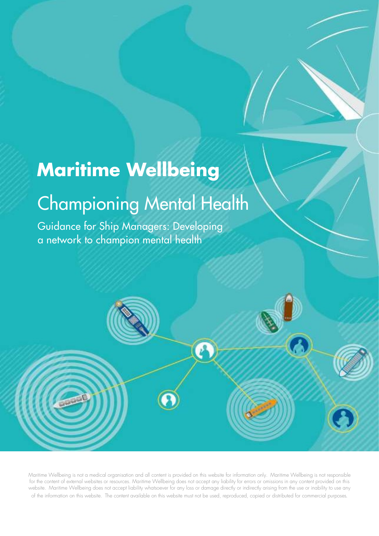## Maritime Wellbeing

## Championing Mental Health

Guidance for Ship Managers: Developing a network to champion mental health

Maritime Wellbeing is not a medical organisation and all content is provided on this website for information only. Maritime Wellbeing is not responsible for the content of external websites or resources. Maritime Wellbeing does not accept any liability for errors or omissions in any content provided on this website. Maritime Wellbeing does not accept liability whatsoever for any loss or damage directly or indirectly arising from the use or inability to use any of the information on this website. The content available on this website must not be used, reproduced, copied or distributed for commercial purposes.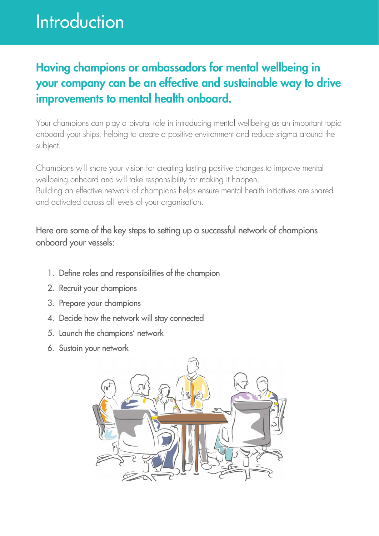## Introduction

### Having champions or ambassadors for mental wellbeing in your company can be an effective and sustainable way to drive improvements to mental health onboard.

Your champions can play a pivotal role in introducing mental wellbeing as an important topic onboard your ships, helping to create a positive environment and reduce stigma around the subject.

Champions will share your vision for creating lasting positive changes to improve mental wellbeing onboard and will take responsibility for making it happen. Building an effective network of champions helps ensure mental health initiatives are shared and activated across all levels of your organisation.

#### Here are some of the key steps to setting up a successful network of champions onboard your vessels:

- 1. Define roles and responsibilities of the champion
- 2. Recruit your champions
- 3. Prepare your champions
- 4. Decide how the network will stay connected
- 5. Launch the champions' network
- 6. Sustain your network

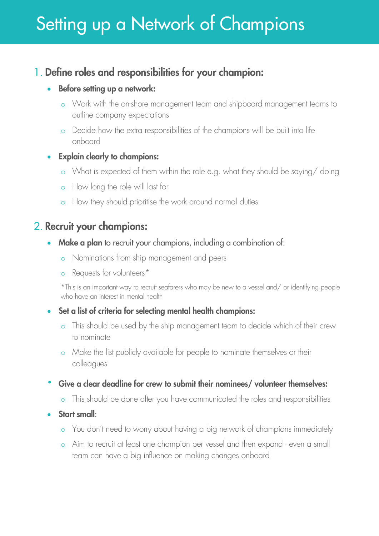### 1. Define roles and responsibilities for your champion:

#### • Before setting up a network:

- o Work with the on-shore management team and shipboard management teams to outline company expectations
- o Decide how the extra responsibilities of the champions will be built into life onboard

#### Explain clearly to champions:

- o What is expected of them within the role e.g. what they should be saying/ doing
- o How long the role will last for
- o How they should prioritise the work around normal duties

### 2. Recruit your champions:

- Make a plan to recruit your champions, including a combination of:
	- o Nominations from ship management and peers
	- o Requests for volunteers\*

\*This is an important way to recruit seafarers who may be new to a vessel and/ or identifying people who have an interest in mental health

- Set a list of criteria for selecting mental health champions:
	- o This should be used by the ship management team to decide which of their crew to nominate
	- o Make the list publicly available for people to nominate themselves or their colleagues
- Give a clear deadline for crew to submit their nominees/ volunteer themselves:
	- o This should be done after you have communicated the roles and responsibilities
- Start small:
	- o You don't need to worry about having a big network of champions immediately
	- o Aim to recruit at least one champion per vessel and then expand even a small team can have a big influence on making changes onboard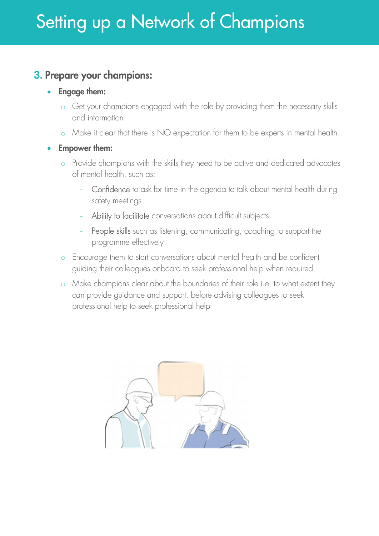### 3. Prepare your champions:

- Engage them:
	- o Get your champions engaged with the role by providing them the necessary skills and information
	- o Make it clear that there is NO expectation for them to be experts in mental health
- Empower them:
	- o Provide champions with the skills they need to be active and dedicated advocates of mental health, such as:
		- Confidence to ask for time in the agenda to talk about mental health during safety meetings
		- Ability to facilitate conversations about difficult subjects
		- People skills such as listening, communicating, coaching to support the programme effectively
	- o Encourage them to start conversations about mental health and be confident guiding their colleagues onboard to seek professional help when required
	- o Make champions clear about the boundaries of their role i.e. to what extent they can provide guidance and support, before advising colleagues to seek professional help to seek professional help

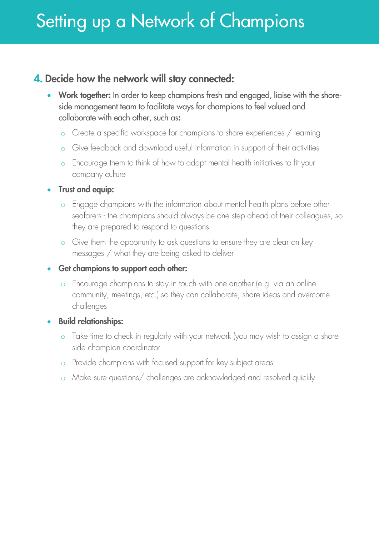### 4. Decide how the network will stay connected:

- Work together: In order to keep champions fresh and engaged, liaise with the shoreside management team to facilitate ways for champions to feel valued and collaborate with each other, such as:
	- o Create a specific workspace for champions to share experiences / learning
	- Give feedback and download useful information in support of their activities
	- o Encourage them to think of how to adapt mental health initiatives to fit your company culture

#### • Trust and equip:

- o Engage champions with the information about mental health plans before other seafarers - the champions should always be one step ahead of their colleagues, so they are prepared to respond to questions
- o Give them the opportunity to ask questions to ensure they are clear on key messages / what they are being asked to deliver

#### • Get champions to support each other:

o Encourage champions to stay in touch with one another (e.g. via an online community, meetings, etc.) so they can collaborate, share ideas and overcome challenges

#### **•** Build relationships:

- o Take time to check in regularly with your network (you may wish to assign a shoreside champion coordinator
- o Provide champions with focused support for key subject areas
- o Make sure questions/ challenges are acknowledged and resolved quickly